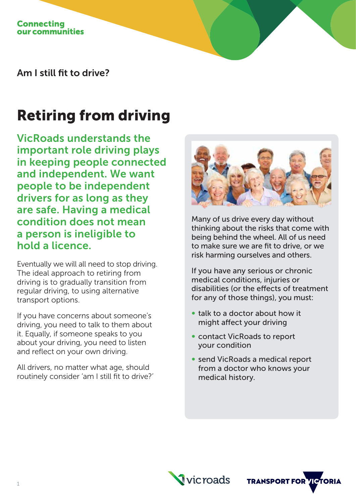Am I still fit to drive?

# Retiring from driving

VicRoads understands the important role driving plays in keeping people connected and independent. We want people to be independent drivers for as long as they are safe. Having a medical condition does not mean a person is ineligible to hold a licence.

Eventually we will all need to stop driving. The ideal approach to retiring from driving is to gradually transition from regular driving, to using alternative transport options.

If you have concerns about someone's driving, you need to talk to them about it. Equally, if someone speaks to you about your driving, you need to listen and reflect on your own driving.

All drivers, no matter what age, should routinely consider 'am I still fit to drive?'



Many of us drive every day without thinking about the risks that come with being behind the wheel. All of us need to make sure we are fit to drive, or we risk harming ourselves and others.

If you have any serious or chronic medical conditions, injuries or disabilities (or the effects of treatment for any of those things), you must:

- ∞ talk to a doctor about how it might affect your driving
- contact VicRoads to report your condition
- ∞ send VicRoads a medical report from a doctor who knows your medical history.



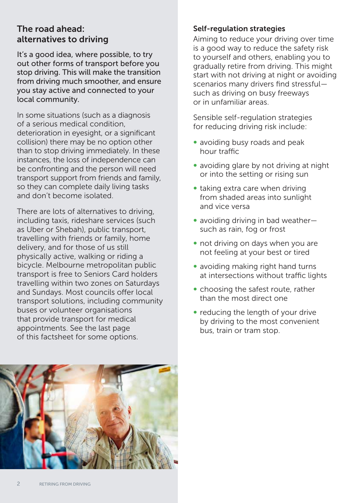## The road ahead: alternatives to driving

It's a good idea, where possible, to try out other forms of transport before you stop driving. This will make the transition from driving much smoother, and ensure you stay active and connected to your local community.

In some situations (such as a diagnosis of a serious medical condition, deterioration in eyesight, or a significant collision) there may be no option other than to stop driving immediately. In these instances, the loss of independence can be confronting and the person will need transport support from friends and family, so they can complete daily living tasks and don't become isolated.

There are lots of alternatives to driving, including taxis, rideshare services (such as Uber or Shebah), public transport, travelling with friends or family, home delivery, and for those of us still physically active, walking or riding a bicycle. Melbourne metropolitan public transport is free to Seniors Card holders travelling within two zones on Saturdays and Sundays. Most councils offer local transport solutions, including community buses or volunteer organisations that provide transport for medical appointments. See the last page of this factsheet for some options.

## Self-regulation strategies

Aiming to reduce your driving over time is a good way to reduce the safety risk to yourself and others, enabling you to gradually retire from driving. This might start with not driving at night or avoiding scenarios many drivers find stressful such as driving on busy freeways or in unfamiliar areas.

Sensible self-regulation strategies for reducing driving risk include:

- avoiding busy roads and peak hour traffic
- avoiding glare by not driving at night or into the setting or rising sun
- taking extra care when driving from shaded areas into sunlight and vice versa
- avoiding driving in bad weather– such as rain, fog or frost
- not driving on days when you are not feeling at your best or tired
- avoiding making right hand turns at intersections without traffic lights
- choosing the safest route, rather than the most direct one
- reducing the length of your drive by driving to the most convenient bus, train or tram stop.

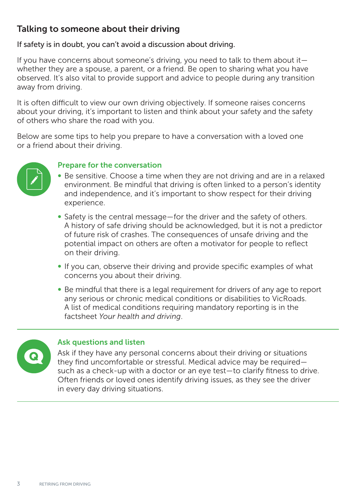## Talking to someone about their driving

## If safety is in doubt, you can't avoid a discussion about driving.

If you have concerns about someone's driving, you need to talk to them about it whether they are a spouse, a parent, or a friend. Be open to sharing what you have observed. It's also vital to provide support and advice to people during any transition away from driving.

It is often difficult to view our own driving objectively. If someone raises concerns about your driving, it's important to listen and think about your safety and the safety of others who share the road with you.

Below are some tips to help you prepare to have a conversation with a loved one or a friend about their driving.



## Prepare for the conversation

- ∞ Be sensitive. Choose a time when they are not driving and are in a relaxed environment. Be mindful that driving is often linked to a person's identity and independence, and it's important to show respect for their driving experience.
- ∞ Safety is the central message—for the driver and the safety of others. A history of safe driving should be acknowledged, but it is not a predictor of future risk of crashes. The consequences of unsafe driving and the potential impact on others are often a motivator for people to reflect on their driving.
- If you can, observe their driving and provide specific examples of what concerns you about their driving.
- ∞ Be mindful that there is a legal requirement for drivers of any age to report any serious or chronic medical conditions or disabilities to VicRoads. A list of medical conditions requiring mandatory reporting is in the factsheet *Your health and driving*.



## Ask questions and listen

Ask if they have any personal concerns about their driving or situations they find uncomfortable or stressful. Medical advice may be required such as a check-up with a doctor or an eye test—to clarify fitness to drive. Often friends or loved ones identify driving issues, as they see the driver in every day driving situations.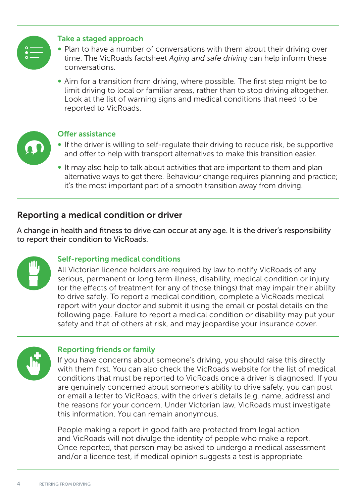

## Take a staged approach

- Plan to have a number of conversations with them about their driving over time. The VicRoads factsheet *Aging and safe driving* can help inform these conversations.
- ∞ Aim for a transition from driving, where possible. The first step might be to limit driving to local or familiar areas, rather than to stop driving altogether. Look at the list of warning signs and medical conditions that need to be reported to VicRoads.



#### Offer assistance

- If the driver is willing to self-regulate their driving to reduce risk, be supportive and offer to help with transport alternatives to make this transition easier.
- ∞ It may also help to talk about activities that are important to them and plan alternative ways to get there. Behaviour change requires planning and practice; it's the most important part of a smooth transition away from driving.

## Reporting a medical condition or driver

A change in health and fitness to drive can occur at any age. It is the driver's responsibility to report their condition to VicRoads.

## Self-reporting medical conditions

All Victorian licence holders are required by law to notify VicRoads of any serious, permanent or long term illness, disability, medical condition or injury (or the effects of treatment for any of those things) that may impair their ability to drive safely. To report a medical condition, complete a VicRoads medical report with your doctor and submit it using the email or postal details on the following page. Failure to report a medical condition or disability may put your safety and that of others at risk, and may jeopardise your insurance cover.



## Reporting friends or family

If you have concerns about someone's driving, you should raise this directly with them first. You can also check the VicRoads website for the list of medical conditions that must be reported to VicRoads once a driver is diagnosed. If you are genuinely concerned about someone's ability to drive safely, you can post or email a letter to VicRoads, with the driver's details (e.g. name, address) and the reasons for your concern. Under Victorian law, VicRoads must investigate this information. You can remain anonymous.

People making a report in good faith are protected from legal action and VicRoads will not divulge the identity of people who make a report. Once reported, that person may be asked to undergo a medical assessment and/or a licence test, if medical opinion suggests a test is appropriate.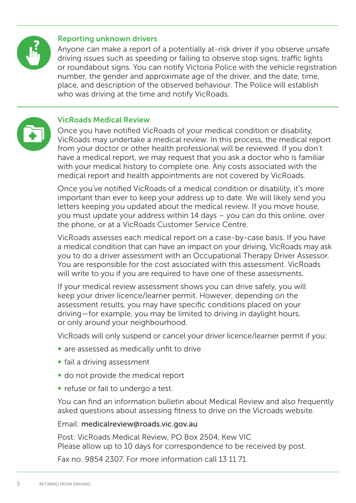

#### Reporting unknown drivers

Anyone can make a report of a potentially at-risk driver if you observe unsafe driving issues such as speeding or failing to observe stop signs, traffic lights or roundabout signs. You can notify Victoria Police with the vehicle registration number, the gender and approximate age of the driver, and the date, time, place, and description of the observed behaviour. The Police will establish who was driving at the time and notify VicRoads.



#### VicRoads Medical Review

Once you have notified VicRoads of your medical condition or disability, VicRoads may undertake a medical review. In this process, the medical report from your doctor or other health professional will be reviewed. If you don't have a medical report, we may request that you ask a doctor who is familiar with your medical history to complete one. Any costs associated with the medical report and health appointments are not covered by VicRoads.

Once you've notified VicRoads of a medical condition or disability, it's more important than ever to keep your address up to date. We will likely send you letters keeping you updated about the medical review. If you move house, you must update your address within 14 days – you can do this online, over the phone, or at a VicRoads Customer Service Centre.

VicRoads assesses each medical report on a case-by-case basis. If you have a medical condition that can have an impact on your driving, VicRoads may ask you to do a driver assessment with an Occupational Therapy Driver Assessor. You are responsible for the cost associated with this assessment. VicRoads will write to you if you are required to have one of these assessments.

If your medical review assessment shows you can drive safely, you will keep your driver licence/learner permit. However, depending on the assessment results, you may have specific conditions placed on your driving—for example, you may be limited to driving in daylight hours, or only around your neighbourhood.

VicRoads will only suspend or cancel your driver licence/learner permit if you:

- are assessed as medically unfit to drive
- ∞ fail a driving assessment
- do not provide the medical report
- ∞ refuse or fail to undergo a test.

You can find an information bulletin about Medical Review and also frequently asked questions about assessing fitness to drive on the Vicroads website.

#### Email: medicalreview@roads.vic.gov.au

Post: VicRoads Medical Review, PO Box 2504, Kew VIC Please allow up to 10 days for correspondence to be received by post.

Fax no. 9854 2307. For more information call 13 11 71.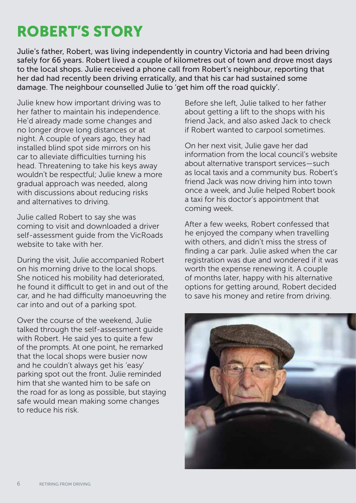# ROBERT'S STORY

Julie's father, Robert, was living independently in country Victoria and had been driving safely for 66 years. Robert lived a couple of kilometres out of town and drove most days to the local shops. Julie received a phone call from Robert's neighbour, reporting that her dad had recently been driving erratically, and that his car had sustained some damage. The neighbour counselled Julie to 'get him off the road quickly'.

Julie knew how important driving was to her father to maintain his independence. He'd already made some changes and no longer drove long distances or at night. A couple of years ago, they had installed blind spot side mirrors on his car to alleviate difficulties turning his head. Threatening to take his keys away wouldn't be respectful; Julie knew a more gradual approach was needed, along with discussions about reducing risks and alternatives to driving.

Julie called Robert to say she was coming to visit and downloaded a driver self-assessment guide from the VicRoads website to take with her.

During the visit, Julie accompanied Robert on his morning drive to the local shops. She noticed his mobility had deteriorated, he found it difficult to get in and out of the car, and he had difficulty manoeuvring the car into and out of a parking spot.

Over the course of the weekend, Julie talked through the self-assessment quide with Robert. He said yes to quite a few of the prompts. At one point, he remarked that the local shops were busier now and he couldn't always get his 'easy' parking spot out the front. Julie reminded him that she wanted him to be safe on the road for as long as possible, but staying safe would mean making some changes to reduce his risk.

Before she left, Julie talked to her father about getting a lift to the shops with his friend Jack, and also asked Jack to check if Robert wanted to carpool sometimes.

On her next visit, Julie gave her dad information from the local council's website about alternative transport services—such as local taxis and a community bus. Robert's friend Jack was now driving him into town once a week, and Julie helped Robert book a taxi for his doctor's appointment that coming week.

After a few weeks, Robert confessed that he enjoyed the company when travelling with others, and didn't miss the stress of finding a car park. Julie asked when the car registration was due and wondered if it was worth the expense renewing it. A couple of months later, happy with his alternative options for getting around, Robert decided to save his money and retire from driving.